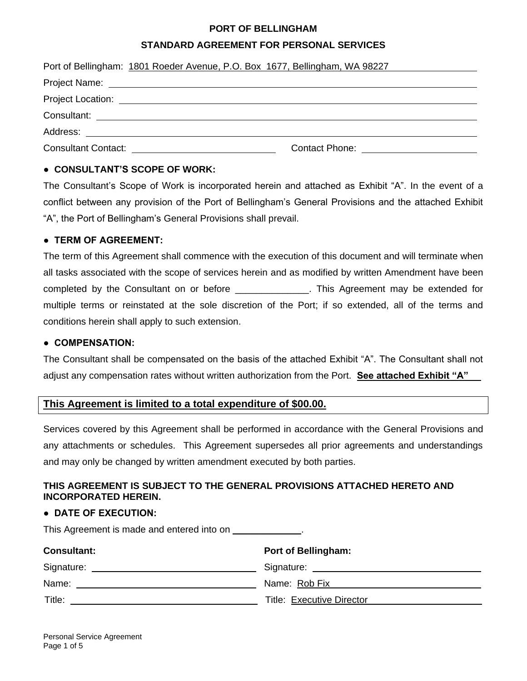### **PORT OF BELLINGHAM**

## **STANDARD AGREEMENT FOR PERSONAL SERVICES**

| Port of Bellingham: 1801 Roeder Avenue, P.O. Box 1677, Bellingham, WA 98227                                         |
|---------------------------------------------------------------------------------------------------------------------|
|                                                                                                                     |
|                                                                                                                     |
|                                                                                                                     |
|                                                                                                                     |
| Consultant Contact: <u>container and container and container and container</u><br>Contact Phone: The Contact Phone: |

## **● CONSULTANT'S SCOPE OF WORK:**

The Consultant's Scope of Work is incorporated herein and attached as Exhibit "A". In the event of a conflict between any provision of the Port of Bellingham's General Provisions and the attached Exhibit "A", the Port of Bellingham's General Provisions shall prevail.

## **● TERM OF AGREEMENT:**

The term of this Agreement shall commence with the execution of this document and will terminate when all tasks associated with the scope of services herein and as modified by written Amendment have been completed by the Consultant on or before \_\_\_\_\_\_\_\_\_\_\_\_\_\_. This Agreement may be extended for multiple terms or reinstated at the sole discretion of the Port; if so extended, all of the terms and conditions herein shall apply to such extension.

### **● COMPENSATION:**

The Consultant shall be compensated on the basis of the attached Exhibit "A". The Consultant shall not adjust any compensation rates without written authorization from the Port. **See attached Exhibit "A"**

# **This Agreement is limited to a total expenditure of \$00.00.**

Services covered by this Agreement shall be performed in accordance with the General Provisions and any attachments or schedules. This Agreement supersedes all prior agreements and understandings and may only be changed by written amendment executed by both parties.

## **THIS AGREEMENT IS SUBJECT TO THE GENERAL PROVISIONS ATTACHED HERETO AND INCORPORATED HEREIN.**

### **● DATE OF EXECUTION:**

This Agreement is made and entered into on \_\_\_\_\_\_\_\_\_\_\_\_\_.

| <b>Consultant:</b> | <b>Port of Bellingham:</b> |
|--------------------|----------------------------|
|                    |                            |
| Name:              | Name: Rob Fix              |
| Title:             | Title: Executive Director  |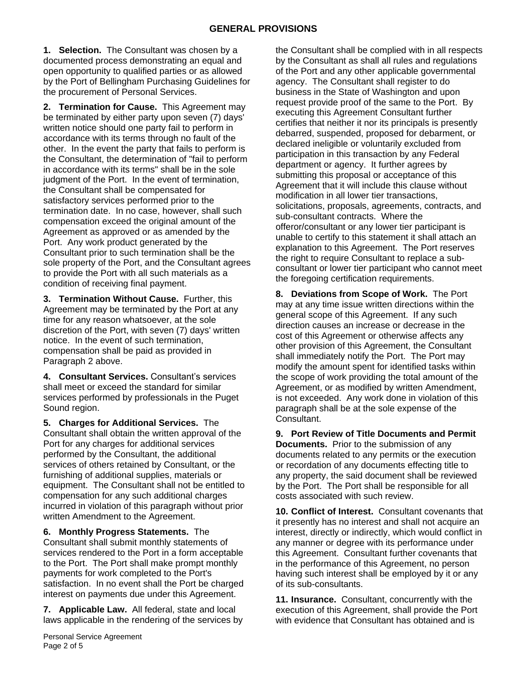**1. Selection.** The Consultant was chosen by a documented process demonstrating an equal and open opportunity to qualified parties or as allowed by the Port of Bellingham Purchasing Guidelines for the procurement of Personal Services.

**2. Termination for Cause.** This Agreement may be terminated by either party upon seven (7) days' written notice should one party fail to perform in accordance with its terms through no fault of the other. In the event the party that fails to perform is the Consultant, the determination of "fail to perform in accordance with its terms" shall be in the sole judgment of the Port. In the event of termination, the Consultant shall be compensated for satisfactory services performed prior to the termination date. In no case, however, shall such compensation exceed the original amount of the Agreement as approved or as amended by the Port. Any work product generated by the Consultant prior to such termination shall be the sole property of the Port, and the Consultant agrees to provide the Port with all such materials as a condition of receiving final payment.

**3. Termination Without Cause.** Further, this Agreement may be terminated by the Port at any time for any reason whatsoever, at the sole discretion of the Port, with seven (7) days' written notice. In the event of such termination, compensation shall be paid as provided in Paragraph 2 above.

**4. Consultant Services.** Consultant's services shall meet or exceed the standard for similar services performed by professionals in the Puget Sound region.

**5. Charges for Additional Services.** The Consultant shall obtain the written approval of the Port for any charges for additional services performed by the Consultant, the additional services of others retained by Consultant, or the furnishing of additional supplies, materials or equipment. The Consultant shall not be entitled to compensation for any such additional charges incurred in violation of this paragraph without prior written Amendment to the Agreement.

**6. Monthly Progress Statements.** The Consultant shall submit monthly statements of services rendered to the Port in a form acceptable to the Port. The Port shall make prompt monthly payments for work completed to the Port's satisfaction. In no event shall the Port be charged interest on payments due under this Agreement.

**7. Applicable Law.** All federal, state and local laws applicable in the rendering of the services by the Consultant shall be complied with in all respects by the Consultant as shall all rules and regulations of the Port and any other applicable governmental agency. The Consultant shall register to do business in the State of Washington and upon request provide proof of the same to the Port. By executing this Agreement Consultant further certifies that neither it nor its principals is presently debarred, suspended, proposed for debarment, or declared ineligible or voluntarily excluded from participation in this transaction by any Federal department or agency. It further agrees by submitting this proposal or acceptance of this Agreement that it will include this clause without modification in all lower tier transactions, solicitations, proposals, agreements, contracts, and sub-consultant contracts. Where the offeror/consultant or any lower tier participant is unable to certify to this statement it shall attach an explanation to this Agreement. The Port reserves the right to require Consultant to replace a subconsultant or lower tier participant who cannot meet the foregoing certification requirements.

**8. Deviations from Scope of Work.** The Port may at any time issue written directions within the general scope of this Agreement. If any such direction causes an increase or decrease in the cost of this Agreement or otherwise affects any other provision of this Agreement, the Consultant shall immediately notify the Port. The Port may modify the amount spent for identified tasks within the scope of work providing the total amount of the Agreement, or as modified by written Amendment, is not exceeded. Any work done in violation of this paragraph shall be at the sole expense of the Consultant.

**9. Port Review of Title Documents and Permit Documents.** Prior to the submission of any documents related to any permits or the execution or recordation of any documents effecting title to any property, the said document shall be reviewed by the Port. The Port shall be responsible for all costs associated with such review.

**10. Conflict of Interest.** Consultant covenants that it presently has no interest and shall not acquire an interest, directly or indirectly, which would conflict in any manner or degree with its performance under this Agreement. Consultant further covenants that in the performance of this Agreement, no person having such interest shall be employed by it or any of its sub-consultants.

**11. Insurance.** Consultant, concurrently with the execution of this Agreement, shall provide the Port with evidence that Consultant has obtained and is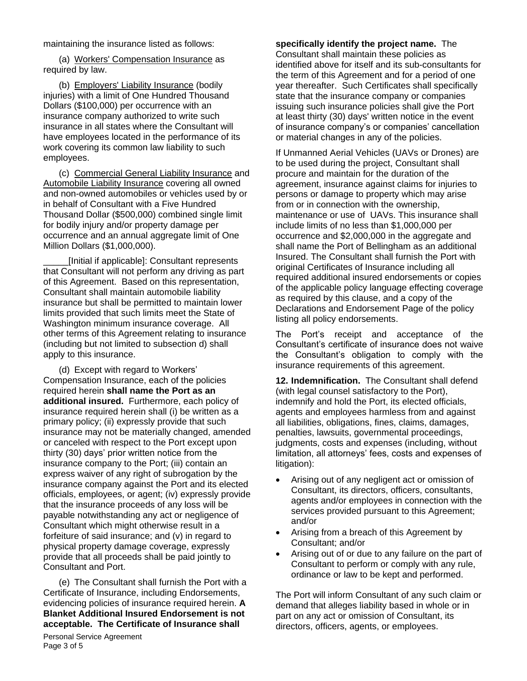maintaining the insurance listed as follows:

(a) Workers' Compensation Insurance as required by law.

(b) Employers' Liability Insurance (bodily injuries) with a limit of One Hundred Thousand Dollars (\$100,000) per occurrence with an insurance company authorized to write such insurance in all states where the Consultant will have employees located in the performance of its work covering its common law liability to such employees.

(c) Commercial General Liability Insurance and Automobile Liability Insurance covering all owned and non-owned automobiles or vehicles used by or in behalf of Consultant with a Five Hundred Thousand Dollar (\$500,000) combined single limit for bodily injury and/or property damage per occurrence and an annual aggregate limit of One Million Dollars (\$1,000,000).

\_\_\_\_\_[Initial if applicable]: Consultant represents that Consultant will not perform any driving as part of this Agreement. Based on this representation, Consultant shall maintain automobile liability insurance but shall be permitted to maintain lower limits provided that such limits meet the State of Washington minimum insurance coverage. All other terms of this Agreement relating to insurance (including but not limited to subsection d) shall apply to this insurance.

(d) Except with regard to Workers' Compensation Insurance, each of the policies required herein **shall name the Port as an additional insured.** Furthermore, each policy of insurance required herein shall (i) be written as a primary policy; (ii) expressly provide that such insurance may not be materially changed, amended or canceled with respect to the Port except upon thirty (30) days' prior written notice from the insurance company to the Port; (iii) contain an express waiver of any right of subrogation by the insurance company against the Port and its elected officials, employees, or agent; (iv) expressly provide that the insurance proceeds of any loss will be payable notwithstanding any act or negligence of Consultant which might otherwise result in a forfeiture of said insurance; and (v) in regard to physical property damage coverage, expressly provide that all proceeds shall be paid jointly to Consultant and Port.

(e) The Consultant shall furnish the Port with a Certificate of Insurance, including Endorsements, evidencing policies of insurance required herein. **A Blanket Additional Insured Endorsement is not acceptable. The Certificate of Insurance shall** 

### **specifically identify the project name.** The

Consultant shall maintain these policies as identified above for itself and its sub-consultants for the term of this Agreement and for a period of one year thereafter. Such Certificates shall specifically state that the insurance company or companies issuing such insurance policies shall give the Port at least thirty (30) days' written notice in the event of insurance company's or companies' cancellation or material changes in any of the policies.

If Unmanned Aerial Vehicles (UAVs or Drones) are to be used during the project, Consultant shall procure and maintain for the duration of the agreement, insurance against claims for injuries to persons or damage to property which may arise from or in connection with the ownership, maintenance or use of UAVs. This insurance shall include limits of no less than \$1,000,000 per occurrence and \$2,000,000 in the aggregate and shall name the Port of Bellingham as an additional Insured. The Consultant shall furnish the Port with original Certificates of Insurance including all required additional insured endorsements or copies of the applicable policy language effecting coverage as required by this clause, and a copy of the Declarations and Endorsement Page of the policy listing all policy endorsements.

The Port's receipt and acceptance of the Consultant's certificate of insurance does not waive the Consultant's obligation to comply with the insurance requirements of this agreement.

**12. Indemnification.** The Consultant shall defend (with legal counsel satisfactory to the Port), indemnify and hold the Port, its elected officials, agents and employees harmless from and against all liabilities, obligations, fines, claims, damages, penalties, lawsuits, governmental proceedings, judgments, costs and expenses (including, without limitation, all attorneys' fees, costs and expenses of litigation):

- Arising out of any negligent act or omission of Consultant, its directors, officers, consultants, agents and/or employees in connection with the services provided pursuant to this Agreement; and/or
- Arising from a breach of this Agreement by Consultant; and/or
- Arising out of or due to any failure on the part of Consultant to perform or comply with any rule, ordinance or law to be kept and performed.

The Port will inform Consultant of any such claim or demand that alleges liability based in whole or in part on any act or omission of Consultant, its directors, officers, agents, or employees.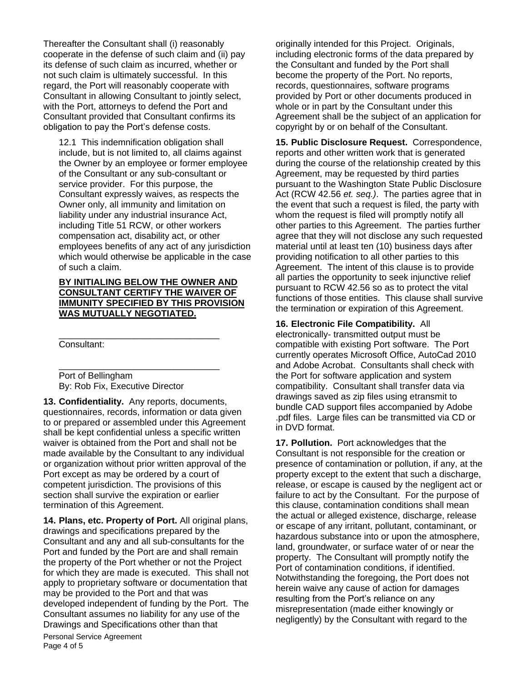Thereafter the Consultant shall (i) reasonably cooperate in the defense of such claim and (ii) pay its defense of such claim as incurred, whether or not such claim is ultimately successful. In this regard, the Port will reasonably cooperate with Consultant in allowing Consultant to jointly select, with the Port, attorneys to defend the Port and Consultant provided that Consultant confirms its obligation to pay the Port's defense costs.

12.1 This indemnification obligation shall include, but is not limited to, all claims against the Owner by an employee or former employee of the Consultant or any sub-consultant or service provider. For this purpose, the Consultant expressly waives, as respects the Owner only, all immunity and limitation on liability under any industrial insurance Act, including Title 51 RCW, or other workers compensation act, disability act, or other employees benefits of any act of any jurisdiction which would otherwise be applicable in the case of such a claim.

#### **BY INITIALING BELOW THE OWNER AND CONSULTANT CERTIFY THE WAIVER OF IMMUNITY SPECIFIED BY THIS PROVISION WAS MUTUALLY NEGOTIATED.**

\_\_\_\_\_\_\_\_\_\_\_\_\_\_\_\_\_\_\_\_\_\_\_\_\_\_\_\_\_\_\_\_

\_\_\_\_\_\_\_\_\_\_\_\_\_\_\_\_\_\_\_\_\_\_\_\_\_\_\_\_\_\_\_\_

Consultant:

Port of Bellingham By: Rob Fix, Executive Director

**13. Confidentiality.** Any reports, documents, questionnaires, records, information or data given to or prepared or assembled under this Agreement shall be kept confidential unless a specific written waiver is obtained from the Port and shall not be made available by the Consultant to any individual or organization without prior written approval of the Port except as may be ordered by a court of competent jurisdiction. The provisions of this section shall survive the expiration or earlier termination of this Agreement.

**14. Plans, etc. Property of Port.** All original plans, drawings and specifications prepared by the Consultant and any and all sub-consultants for the Port and funded by the Port are and shall remain the property of the Port whether or not the Project for which they are made is executed. This shall not apply to proprietary software or documentation that may be provided to the Port and that was developed independent of funding by the Port. The Consultant assumes no liability for any use of the Drawings and Specifications other than that

Personal Service Agreement Page 4 of 5

originally intended for this Project. Originals, including electronic forms of the data prepared by the Consultant and funded by the Port shall become the property of the Port. No reports, records, questionnaires, software programs provided by Port or other documents produced in whole or in part by the Consultant under this Agreement shall be the subject of an application for copyright by or on behalf of the Consultant.

**15. Public Disclosure Request.** Correspondence, reports and other written work that is generated during the course of the relationship created by this Agreement, may be requested by third parties pursuant to the Washington State Public Disclosure Act (RCW 42.56 *et. seq.)*. The parties agree that in the event that such a request is filed, the party with whom the request is filed will promptly notify all other parties to this Agreement. The parties further agree that they will not disclose any such requested material until at least ten (10) business days after providing notification to all other parties to this Agreement. The intent of this clause is to provide all parties the opportunity to seek injunctive relief pursuant to RCW 42.56 so as to protect the vital functions of those entities. This clause shall survive the termination or expiration of this Agreement.

**16. Electronic File Compatibility.** All electronically- transmitted output must be compatible with existing Port software. The Port currently operates Microsoft Office, AutoCad 2010 and Adobe Acrobat. Consultants shall check with the Port for software application and system compatibility. Consultant shall transfer data via drawings saved as zip files using etransmit to bundle CAD support files accompanied by Adobe .pdf files. Large files can be transmitted via CD or in DVD format.

**17. Pollution.** Port acknowledges that the Consultant is not responsible for the creation or presence of contamination or pollution, if any, at the property except to the extent that such a discharge, release, or escape is caused by the negligent act or failure to act by the Consultant. For the purpose of this clause, contamination conditions shall mean the actual or alleged existence, discharge, release or escape of any irritant, pollutant, contaminant, or hazardous substance into or upon the atmosphere, land, groundwater, or surface water of or near the property. The Consultant will promptly notify the Port of contamination conditions, if identified. Notwithstanding the foregoing, the Port does not herein waive any cause of action for damages resulting from the Port's reliance on any misrepresentation (made either knowingly or negligently) by the Consultant with regard to the